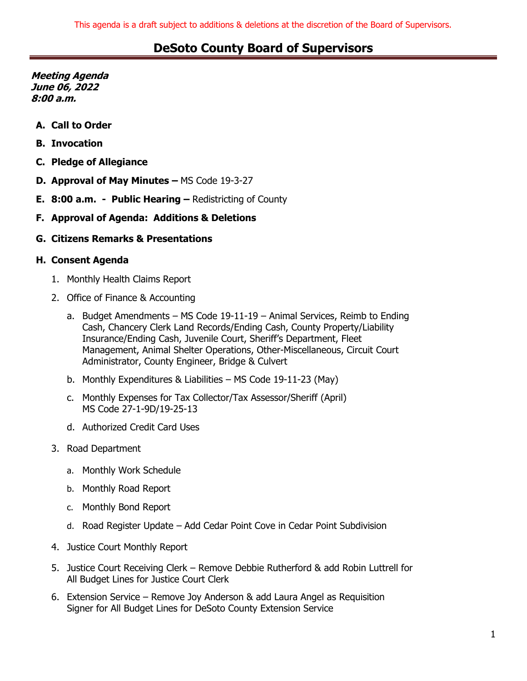**Meeting Agenda June 06, 2022 8:00 a.m.**

- **A. Call to Order**
- **B. Invocation**
- **C. Pledge of Allegiance**
- **D. Approval of May Minutes –** MS Code 19-3-27
- **E. 8:00 a.m. Public Hearing –** Redistricting of County
- **F. Approval of Agenda: Additions & Deletions**
- **G. Citizens Remarks & Presentations**

#### **H. Consent Agenda**

- 1. Monthly Health Claims Report
- 2. Office of Finance & Accounting
	- a. Budget Amendments MS Code 19-11-19 Animal Services, Reimb to Ending Cash, Chancery Clerk Land Records/Ending Cash, County Property/Liability Insurance/Ending Cash, Juvenile Court, Sheriff's Department, Fleet Management, Animal Shelter Operations, Other-Miscellaneous, Circuit Court Administrator, County Engineer, Bridge & Culvert
	- b. Monthly Expenditures & Liabilities MS Code 19-11-23 (May)
	- c. Monthly Expenses for Tax Collector/Tax Assessor/Sheriff (April) MS Code 27-1-9D/19-25-13
	- d. Authorized Credit Card Uses
- 3. Road Department
	- a. Monthly Work Schedule
	- b. Monthly Road Report
	- c. Monthly Bond Report
	- d. Road Register Update Add Cedar Point Cove in Cedar Point Subdivision
- 4. Justice Court Monthly Report
- 5. Justice Court Receiving Clerk Remove Debbie Rutherford & add Robin Luttrell for All Budget Lines for Justice Court Clerk
- 6. Extension Service Remove Joy Anderson & add Laura Angel as Requisition Signer for All Budget Lines for DeSoto County Extension Service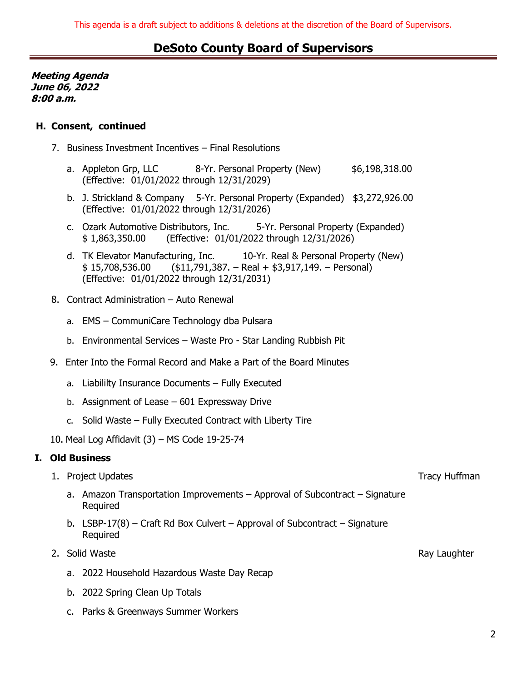**Meeting Agenda June 06, 2022 8:00 a.m.**

### **H. Consent, continued**

- 7. Business Investment Incentives Final Resolutions
	- a. Appleton Grp, LLC 8-Yr. Personal Property (New) \$6,198,318.00 (Effective: 01/01/2022 through 12/31/2029)
	- b. J. Strickland & Company 5-Yr. Personal Property (Expanded) \$3,272,926.00 (Effective: 01/01/2022 through 12/31/2026)
	- c. Ozark Automotive Distributors, Inc. 5-Yr. Personal Property (Expanded) \$ 1,863,350.00 (Effective: 01/01/2022 through 12/31/2026)
	- d. TK Elevator Manufacturing, Inc. 10-Yr. Real & Personal Property (New)  $$ 15,708,536.00$  ( $$11,791,387. - Real + $3,917,149. - Personal$ ) (Effective: 01/01/2022 through 12/31/2031)
- 8. Contract Administration Auto Renewal
	- a. EMS CommuniCare Technology dba Pulsara
	- b. Environmental Services Waste Pro Star Landing Rubbish Pit
- 9. Enter Into the Formal Record and Make a Part of the Board Minutes
	- a. Liabililty Insurance Documents Fully Executed
	- b. Assignment of Lease 601 Expressway Drive
	- c. Solid Waste Fully Executed Contract with Liberty Tire
- 10. Meal Log Affidavit (3) MS Code 19-25-74

### **I. Old Business**

- 1. Project Updates Tracy Huffman and the state of the state of the state of the state of the state of the state of the state of the state of the state of the state of the state of the state of the state of the state of the
	- a. Amazon Transportation Improvements Approval of Subcontract Signature Required
	- b. LSBP-17(8) Craft Rd Box Culvert Approval of Subcontract Signature Required
- 2. Solid Waste Ray Laughter Ray Laughter
	- a. 2022 Household Hazardous Waste Day Recap
	- b. 2022 Spring Clean Up Totals
	- c. Parks & Greenways Summer Workers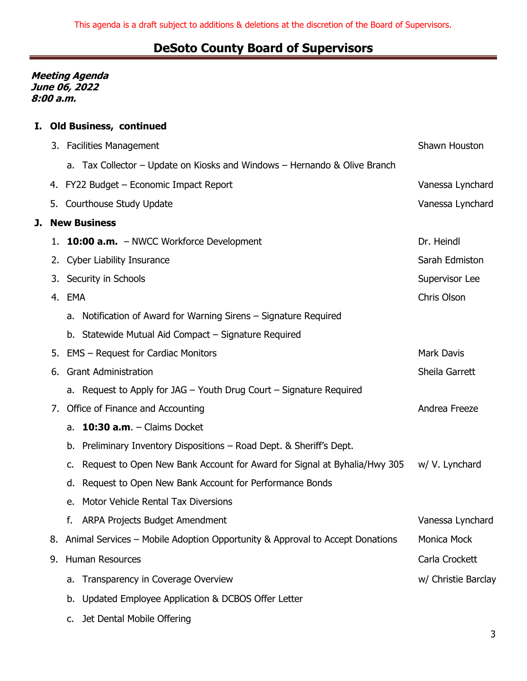**Meeting Agenda June 06, 2022 8:00 a.m.**

**J. New Business**

### **I. Old Business, continued**

|                     | 3. Facilities Management                                                        | Shawn Houston       |  |  |  |  |
|---------------------|---------------------------------------------------------------------------------|---------------------|--|--|--|--|
|                     | a. Tax Collector – Update on Kiosks and Windows – Hernando & Olive Branch       |                     |  |  |  |  |
|                     | 4. FY22 Budget - Economic Impact Report                                         | Vanessa Lynchard    |  |  |  |  |
|                     | 5. Courthouse Study Update                                                      | Vanessa Lynchard    |  |  |  |  |
| <b>New Business</b> |                                                                                 |                     |  |  |  |  |
| 1.                  | <b>10:00 a.m.</b> - NWCC Workforce Development                                  | Dr. Heindl          |  |  |  |  |
|                     | 2. Cyber Liability Insurance                                                    | Sarah Edmiston      |  |  |  |  |
|                     | 3. Security in Schools                                                          | Supervisor Lee      |  |  |  |  |
|                     | 4. EMA                                                                          | Chris Olson         |  |  |  |  |
|                     | Notification of Award for Warning Sirens – Signature Required<br>a.             |                     |  |  |  |  |
|                     | b. Statewide Mutual Aid Compact - Signature Required                            |                     |  |  |  |  |
|                     | 5. EMS - Request for Cardiac Monitors                                           | <b>Mark Davis</b>   |  |  |  |  |
| 6.                  | <b>Grant Administration</b>                                                     | Sheila Garrett      |  |  |  |  |
|                     | a. Request to Apply for JAG $-$ Youth Drug Court $-$ Signature Required         |                     |  |  |  |  |
| 7.                  | Andrea Freeze                                                                   |                     |  |  |  |  |
|                     | 10:30 $a.m. - Clains Docket$<br>a.                                              |                     |  |  |  |  |
|                     | Preliminary Inventory Dispositions - Road Dept. & Sheriff's Dept.<br>b.         |                     |  |  |  |  |
|                     | Request to Open New Bank Account for Award for Signal at Byhalia/Hwy 305<br>c.  | w/ V. Lynchard      |  |  |  |  |
|                     | Request to Open New Bank Account for Performance Bonds<br>d.                    |                     |  |  |  |  |
|                     | Motor Vehicle Rental Tax Diversions<br>е.                                       |                     |  |  |  |  |
|                     | <b>ARPA Projects Budget Amendment</b><br>f.                                     | Vanessa Lynchard    |  |  |  |  |
|                     | 8. Animal Services - Mobile Adoption Opportunity & Approval to Accept Donations | Monica Mock         |  |  |  |  |
| 9.                  | Human Resources                                                                 | Carla Crockett      |  |  |  |  |
|                     | Transparency in Coverage Overview<br>а.                                         | w/ Christie Barclay |  |  |  |  |
|                     | Updated Employee Application & DCBOS Offer Letter<br>b.                         |                     |  |  |  |  |
|                     |                                                                                 |                     |  |  |  |  |

c. Jet Dental Mobile Offering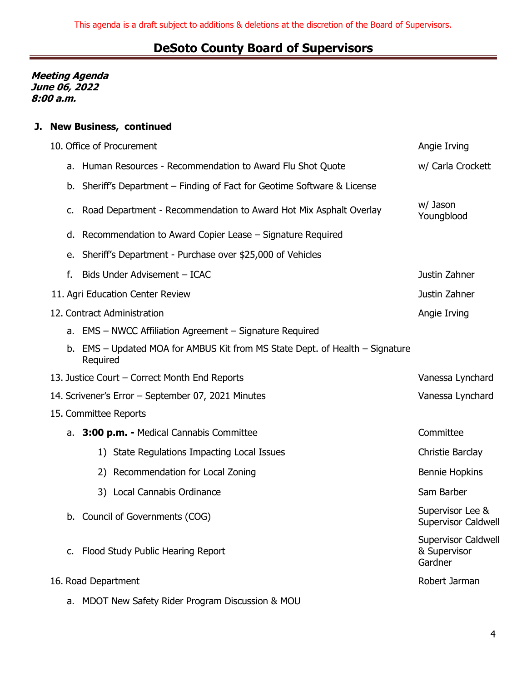**Meeting Agenda June 06, 2022 8:00 a.m.**

### **J. New Business, continued**

|                                                    | 10. Office of Procurement | Angie Irving                                                                             |                                                |  |  |
|----------------------------------------------------|---------------------------|------------------------------------------------------------------------------------------|------------------------------------------------|--|--|
|                                                    |                           | a. Human Resources - Recommendation to Award Flu Shot Quote                              | w/ Carla Crockett                              |  |  |
|                                                    | b.                        | Sheriff's Department – Finding of Fact for Geotime Software & License                    |                                                |  |  |
|                                                    | c.                        | Road Department - Recommendation to Award Hot Mix Asphalt Overlay                        | w/ Jason<br>Youngblood                         |  |  |
|                                                    | d.                        | Recommendation to Award Copier Lease - Signature Required                                |                                                |  |  |
|                                                    | е.                        | Sheriff's Department - Purchase over \$25,000 of Vehicles                                |                                                |  |  |
|                                                    | f.                        | Bids Under Advisement - ICAC                                                             | Justin Zahner                                  |  |  |
|                                                    |                           | 11. Agri Education Center Review                                                         | Justin Zahner                                  |  |  |
|                                                    |                           | 12. Contract Administration                                                              | Angie Irving                                   |  |  |
|                                                    |                           | a. EMS - NWCC Affiliation Agreement - Signature Required                                 |                                                |  |  |
|                                                    |                           | b. EMS - Updated MOA for AMBUS Kit from MS State Dept. of Health - Signature<br>Required |                                                |  |  |
| 13. Justice Court - Correct Month End Reports      | Vanessa Lynchard          |                                                                                          |                                                |  |  |
| 14. Scrivener's Error - September 07, 2021 Minutes | Vanessa Lynchard          |                                                                                          |                                                |  |  |
| 15. Committee Reports                              |                           |                                                                                          |                                                |  |  |
|                                                    |                           | a. 3:00 p.m. - Medical Cannabis Committee                                                | Committee                                      |  |  |
|                                                    |                           | 1) State Regulations Impacting Local Issues                                              | Christie Barclay                               |  |  |
|                                                    |                           | 2) Recommendation for Local Zoning                                                       | <b>Bennie Hopkins</b>                          |  |  |
|                                                    |                           | 3) Local Cannabis Ordinance                                                              | Sam Barber                                     |  |  |
|                                                    |                           | b. Council of Governments (COG)                                                          | Supervisor Lee &<br>Supervisor Caldwell        |  |  |
|                                                    | $C_{\bullet}$             | Flood Study Public Hearing Report                                                        | Supervisor Caldwell<br>& Supervisor<br>Gardner |  |  |
|                                                    |                           | 16. Road Department                                                                      | Robert Jarman                                  |  |  |
|                                                    | a.                        | MDOT New Safety Rider Program Discussion & MOU                                           |                                                |  |  |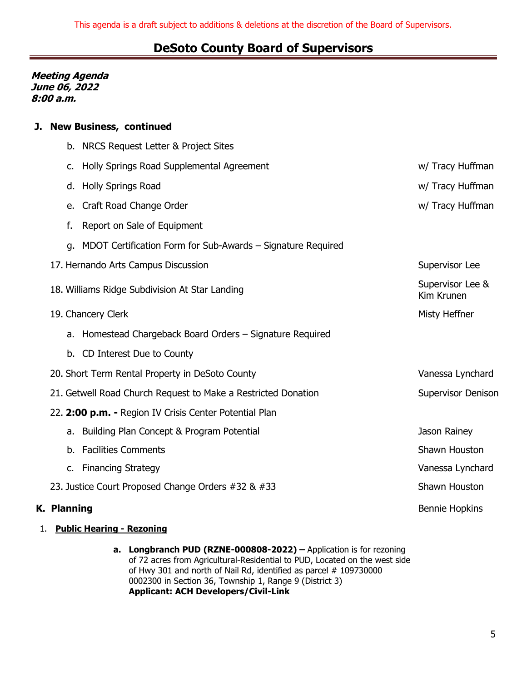#### **Meeting Agenda June 06, 2022 8:00 a.m.**

### **J. New Business, continued**

|                                                        |                    | b. NRCS Request Letter & Project Sites                         |                                |  |
|--------------------------------------------------------|--------------------|----------------------------------------------------------------|--------------------------------|--|
|                                                        | c.                 | Holly Springs Road Supplemental Agreement                      | w/ Tracy Huffman               |  |
|                                                        |                    | d. Holly Springs Road                                          | w/ Tracy Huffman               |  |
|                                                        | e.                 | Craft Road Change Order                                        | w/ Tracy Huffman               |  |
|                                                        | f.                 | Report on Sale of Equipment                                    |                                |  |
|                                                        |                    | g. MDOT Certification Form for Sub-Awards - Signature Required |                                |  |
|                                                        |                    | 17. Hernando Arts Campus Discussion                            | Supervisor Lee                 |  |
|                                                        |                    | 18. Williams Ridge Subdivision At Star Landing                 | Supervisor Lee &<br>Kim Krunen |  |
|                                                        |                    | 19. Chancery Clerk                                             | Misty Heffner                  |  |
|                                                        |                    | a. Homestead Chargeback Board Orders - Signature Required      |                                |  |
|                                                        |                    | b. CD Interest Due to County                                   |                                |  |
|                                                        |                    | 20. Short Term Rental Property in DeSoto County                | Vanessa Lynchard               |  |
|                                                        |                    | 21. Getwell Road Church Request to Make a Restricted Donation  | <b>Supervisor Denison</b>      |  |
| 22. 2:00 p.m. - Region IV Crisis Center Potential Plan |                    |                                                                |                                |  |
|                                                        |                    | a. Building Plan Concept & Program Potential                   | Jason Rainey                   |  |
|                                                        |                    | b. Facilities Comments                                         | Shawn Houston                  |  |
|                                                        |                    | c. Financing Strategy                                          | Vanessa Lynchard               |  |
| 23. Justice Court Proposed Change Orders #32 & #33     |                    |                                                                | Shawn Houston                  |  |
|                                                        | <b>K. Planning</b> |                                                                | <b>Bennie Hopkins</b>          |  |
|                                                        |                    |                                                                |                                |  |

- 1. **Public Hearing - Rezoning**
	- **a. Longbranch PUD (RZNE-000808-2022) –** Application is for rezoning of 72 acres from Agricultural-Residential to PUD, Located on the west side of Hwy 301 and north of Nail Rd, identified as parcel # 109730000 0002300 in Section 36, Township 1, Range 9 (District 3) **Applicant: ACH Developers/Civil-Link**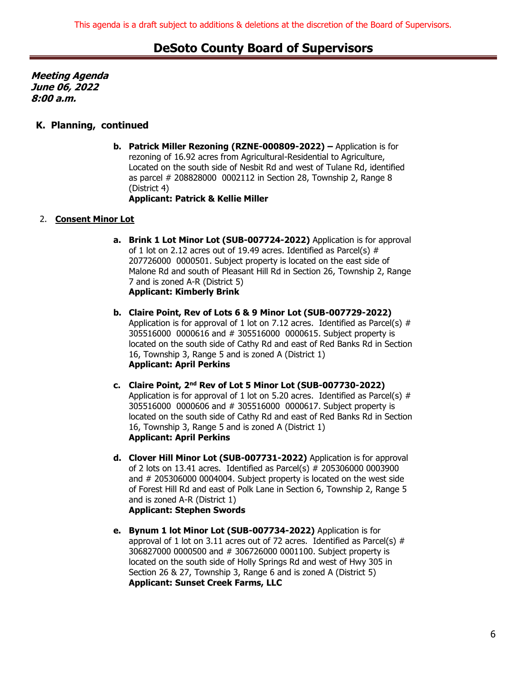**Meeting Agenda June 06, 2022 8:00 a.m.**

#### **K. Planning, continued**

**b. Patrick Miller Rezoning (RZNE-000809-2022) –** Application is for rezoning of 16.92 acres from Agricultural-Residential to Agriculture, Located on the south side of Nesbit Rd and west of Tulane Rd, identified as parcel # 208828000 0002112 in Section 28, Township 2, Range 8 (District 4) **Applicant: Patrick & Kellie Miller**

#### 2. **Consent Minor Lot**

- **a. Brink 1 Lot Minor Lot (SUB-007724-2022)** Application is for approval of 1 lot on 2.12 acres out of 19.49 acres. Identified as Parcel(s)  $#$ 207726000 0000501. Subject property is located on the east side of Malone Rd and south of Pleasant Hill Rd in Section 26, Township 2, Range 7 and is zoned A-R (District 5) **Applicant: Kimberly Brink**
- **b. Claire Point, Rev of Lots 6 & 9 Minor Lot (SUB-007729-2022)** Application is for approval of 1 lot on 7.12 acres. Identified as Parcel(s)  $#$ 305516000 0000616 and # 305516000 0000615. Subject property is located on the south side of Cathy Rd and east of Red Banks Rd in Section 16, Township 3, Range 5 and is zoned A (District 1) **Applicant: April Perkins**
- **c. Claire Point, 2nd Rev of Lot 5 Minor Lot (SUB-007730-2022)** Application is for approval of 1 lot on 5.20 acres. Identified as Parcel(s)  $#$ 305516000 0000606 and # 305516000 0000617. Subject property is located on the south side of Cathy Rd and east of Red Banks Rd in Section 16, Township 3, Range 5 and is zoned A (District 1) **Applicant: April Perkins**
- **d. Clover Hill Minor Lot (SUB-007731-2022)** Application is for approval of 2 lots on 13.41 acres. Identified as Parcel(s) # 205306000 0003900 and # 205306000 0004004. Subject property is located on the west side of Forest Hill Rd and east of Polk Lane in Section 6, Township 2, Range 5 and is zoned A-R (District 1) **Applicant: Stephen Swords**
- **e. Bynum 1 lot Minor Lot (SUB-007734-2022)** Application is for approval of 1 lot on 3.11 acres out of 72 acres. Identified as Parcel(s)  $#$ 306827000 0000500 and # 306726000 0001100. Subject property is located on the south side of Holly Springs Rd and west of Hwy 305 in Section 26 & 27, Township 3, Range 6 and is zoned A (District 5) **Applicant: Sunset Creek Farms, LLC**